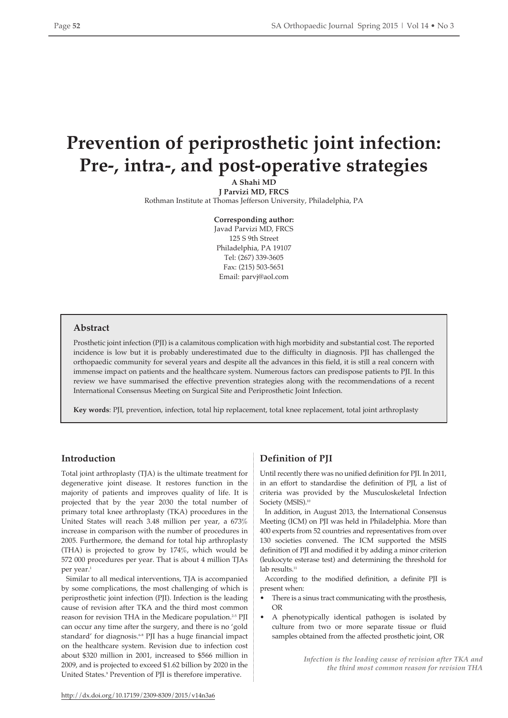# **Prevention of periprosthetic joint infection: Pre-, intra-, and post-operative strategies**

**A Shahi MD**

**J Parvizi MD, FRCS** Rothman Institute at Thomas Jefferson University, Philadelphia, PA

**Corresponding author:**

Javad Parvizi MD, FRCS 125 S 9th Street Philadelphia, PA 19107 Tel: (267) 339-3605 Fax: (215) 503-5651 Email: parvj@aol.com

## **Abstract**

Prosthetic joint infection (PJI) is a calamitous complication with high morbidity and substantial cost. The reported incidence is low but it is probably underestimated due to the difficulty in diagnosis. PJI has challenged the orthopaedic community for several years and despite all the advances in this field, it is still a real concern with immense impact on patients and the healthcare system. Numerous factors can predispose patients to PJI. In this review we have summarised the effective prevention strategies along with the recommendations of a recent International Consensus Meeting on Surgical Site and Periprosthetic Joint Infection.

**Key words**: PJI, prevention, infection, total hip replacement, total knee replacement, total joint arthroplasty

## **Introduction**

Total joint arthroplasty (TJA) is the ultimate treatment for degenerative joint disease. It restores function in the majority of patients and improves quality of life. It is projected that by the year 2030 the total number of primary total knee arthroplasty (TKA) procedures in the United States will reach 3.48 million per year, a 673% increase in comparison with the number of procedures in 2005. Furthermore, the demand for total hip arthroplasty (THA) is projected to grow by 174%, which would be 572 000 procedures per year. That is about 4 million TJAs per year. 1

Similar to all medical interventions, TJA is accompanied by some complications, the most challenging of which is periprosthetic joint infection (PJI). Infection is the leading cause of revision after TKA and the third most common reason for revision THA in the Medicare population.<sup>25</sup> PJI can occur any time after the surgery, and there is no 'gold standard' for diagnosis. 6-8 PJI has a huge financial impact on the healthcare system. Revision due to infection cost about \$320 million in 2001, increased to \$566 million in 2009, and is projected to exceed \$1.62 billion by 2020 in the United States. <sup>9</sup> Prevention of PJI is therefore imperative.

# **Definition of PJI**

Until recently there was no unified definition for PJI. In 2011, in an effort to standardise the definition of PJI, a list of criteria was provided by the Musculoskeletal Infection Society (MSIS).<sup>10</sup>

In addition, in August 2013, the International Consensus Meeting (ICM) on PJI was held in Philadelphia. More than 400 experts from 52 countries and representatives from over 130 societies convened. The ICM supported the MSIS definition of PJI and modified it by adding a minor criterion (leukocyte esterase test) and determining the threshold for lab results.<sup>11</sup>

According to the modified definition, a definite PJI is present when:

- There is a sinus tract communicating with the prosthesis, OR
- A phenotypically identical pathogen is isolated by culture from two or more separate tissue or fluid samples obtained from the affected prosthetic joint, OR

*Infection is the leading cause of revision after TKA and the third most common reason for revision THA*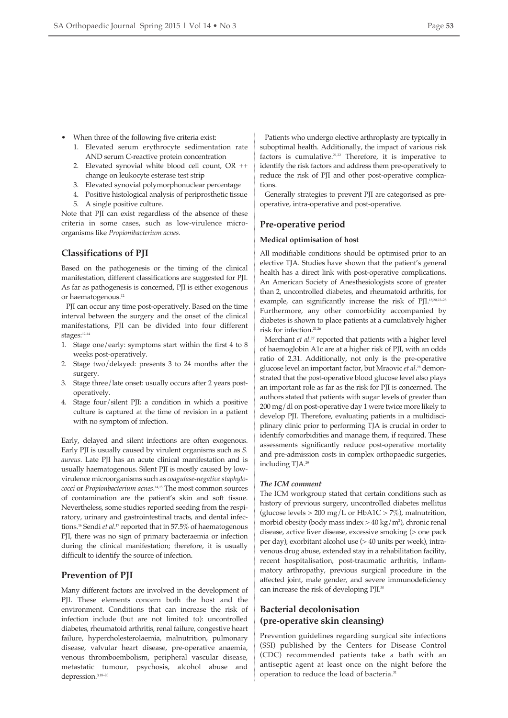- When three of the following five criteria exist:
	- 1. Elevated serum erythrocyte sedimentation rate AND serum C-reactive protein concentration
	- 2. Elevated synovial white blood cell count, OR ++ change on leukocyte esterase test strip
	- 3. Elevated synovial polymorphonuclear percentage
	- 4. Positive histological analysis of periprosthetic tissue
	- 5. A single positive culture.

Note that PJI can exist regardless of the absence of these criteria in some cases, such as low-virulence microorganisms like *Propionibacterium acnes*.

## **Classifications of PJI**

Based on the pathogenesis or the timing of the clinical manifestation, different classifications are suggested for PJI. As far as pathogenesis is concerned. PII is either exogenous or haematogenous. 12

PJI can occur any time post-operatively. Based on the time interval between the surgery and the onset of the clinical manifestations, PJI can be divided into four different stages: 12-14

- 1. Stage one/early: symptoms start within the first 4 to 8 weeks post-operatively.
- 2. Stage two/delayed: presents 3 to 24 months after the surgery.
- 3. Stage three/late onset: usually occurs after 2 years postoperatively.
- 4. Stage four/silent PJI: a condition in which a positive culture is captured at the time of revision in a patient with no symptom of infection.

Early, delayed and silent infections are often exogenous. Early PJI is usually caused by virulent organisms such as *S. aureus*. Late PJI has an acute clinical manifestation and is usually haematogenous. Silent PJI is mostly caused by lowvirulence microorganisms such as *coagulase-negative* staphylo*cocci* or *Propionbacterium acnes*. 14,15 The most common sources of contamination are the patient's skin and soft tissue. Nevertheless, some studies reported seeding from the respiratory, urinary and gastrointestinal tracts, and dental infections. <sup>16</sup> Sendi *et al*. <sup>17</sup> reported that in 57.5% of haematogenous PJI, there was no sign of primary bacteraemia or infection during the clinical manifestation; therefore, it is usually difficult to identify the source of infection.

## **Prevention of PJI**

Many different factors are involved in the development of PJI. These elements concern both the host and the environment. Conditions that can increase the risk of infection include (but are not limited to): uncontrolled diabetes, rheumatoid arthritis, renal failure, congestive heart failure, hypercholesterolaemia, malnutrition, pulmonary disease, valvular heart disease, pre-operative anaemia, venous thromboembolism, peripheral vascular disease, metastatic tumour, psychosis, alcohol abuse and depression. 3,18–20

Patients who undergo elective arthroplasty are typically in suboptimal health. Additionally, the impact of various risk factors is cumulative. 21,22 Therefore, it is imperative to identify the risk factors and address them pre-operatively to reduce the risk of PJI and other post-operative complications.

Generally strategies to prevent PJI are categorised as preoperative, intra-operative and post-operative.

## **Pre-operative period**

#### **Medical optimisation of host**

All modifiable conditions should be optimised prior to an elective TJA. Studies have shown that the patient's general health has a direct link with post-operative complications. An American Society of Anesthesiologists score of greater than 2, uncontrolled diabetes, and rheumatoid arthritis, for example, can significantly increase the risk of PJI.<sup>18,20,23-25</sup> Furthermore, any other comorbidity accompanied by diabetes is shown to place patients at a cumulatively higher risk for infection. 21,26

Merchant *et al*. <sup>27</sup> reported that patients with a higher level of haemoglobin A1c are at a higher risk of PJI, with an odds ratio of 2.31. Additionally, not only is the pre-operative glucose level an important factor, but Mraovic *et al*. <sup>28</sup> demonstrated that the post-operative blood glucose level also plays an important role as far as the risk for PJI is concerned. The authors stated that patients with sugar levels of greater than 200 mg/dl on post-operative day 1 were twice more likely to develop PJI. Therefore, evaluating patients in a multidisciplinary clinic prior to performing TJA is crucial in order to identify comorbidities and manage them, if required. These assessments significantly reduce post-operative mortality and pre-admission costs in complex orthopaedic surgeries, including TJA.<sup>25</sup>

#### *The ICM comment*

The ICM workgroup stated that certain conditions such as history of previous surgery, uncontrolled diabetes mellitus (glucose levels  $>$  200 mg/L or HbA1C  $>$  7%), malnutrition, morbid obesity (body mass index  $>$  40 kg/m<sup>2</sup>), chronic renal disease, active liver disease, excessive smoking (> one pack per day), exorbitant alcohol use (> 40 units per week), intravenous drug abuse, extended stay in a rehabilitation facility, recent hospitalisation, post-traumatic arthritis, inflammatory arthropathy, previous surgical procedure in the affected joint, male gender, and severe immunodeficiency can increase the risk of developing PJI.<sup>30</sup>

## **Bacterial decolonisation (pre-operative skin cleansing)**

Prevention guidelines regarding surgical site infections (SSI) published by the Centers for Disease Control (CDC) recommended patients take a bath with an antiseptic agent at least once on the night before the operation to reduce the load of bacteria. 31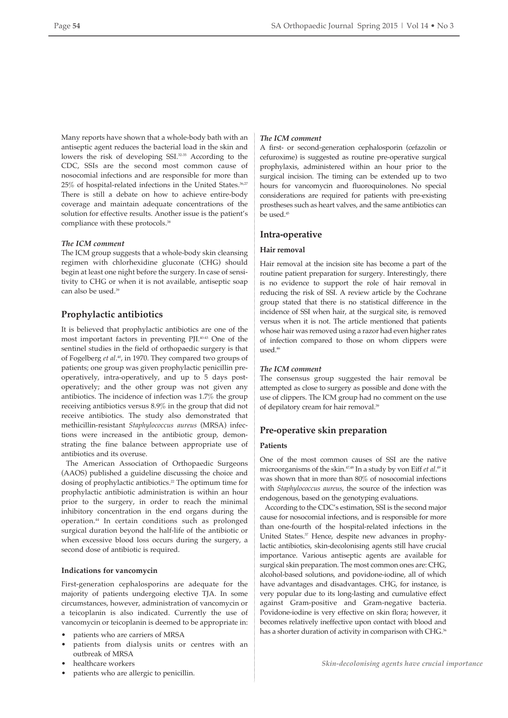Many reports have shown that a whole-body bath with an antiseptic agent reduces the bacterial load in the skin and lowers the risk of developing SSI. 32-35 According to the CDC, SSIs are the second most common cause of nosocomial infections and are responsible for more than 25% of hospital-related infections in the United States. 36,27 There is still a debate on how to achieve entire-body coverage and maintain adequate concentrations of the solution for effective results. Another issue is the patient's compliance with these protocols. 38

## *The ICM comment*

The ICM group suggests that a whole-body skin cleansing regimen with chlorhexidine gluconate (CHG) should begin at least one night before the surgery. In case of sensitivity to CHG or when it is not available, antiseptic soap can also be used. 39

# **Prophylactic antibiotics**

It is believed that prophylactic antibiotics are one of the most important factors in preventing PJI. 40-43 One of the sentinel studies in the field of orthopaedic surgery is that of Fogelberg *et al*. 40 , in 1970. They compared two groups of patients; one group was given prophylactic penicillin preoperatively, intra-operatively, and up to 5 days postoperatively; and the other group was not given any antibiotics. The incidence of infection was 1.7% the group receiving antibiotics versus 8.9% in the group that did not receive antibiotics. The study also demonstrated that methicillin-resistant *Staphylococcus aureus* (MRSA) infections were increased in the antibiotic group, demonstrating the fine balance between appropriate use of antibiotics and its overuse.

The American Association of Orthopaedic Surgeons (AAOS) published a guideline discussing the choice and dosing of prophylactic antibiotics. <sup>22</sup> The optimum time for prophylactic antibiotic administration is within an hour prior to the surgery, in order to reach the minimal inhibitory concentration in the end organs during the operation. <sup>44</sup> In certain conditions such as prolonged surgical duration beyond the half-life of the antibiotic or when excessive blood loss occurs during the surgery, a second dose of antibiotic is required.

## **Indications for vancomycin**

First-generation cephalosporins are adequate for the majority of patients undergoing elective TJA. In some circumstances, however, administration of vancomycin or a teicoplanin is also indicated. Currently the use of vancomycin or teicoplanin is deemed to be appropriate in:

- patients who are carriers of MRSA
- patients from dialysis units or centres with an outbreak of MRSA
- healthcare workers
- patients who are allergic to penicillin.

## *The ICM comment*

A first- or second-generation cephalosporin (cefazolin or cefuroxime) is suggested as routine pre-operative surgical prophylaxis, administered within an hour prior to the surgical incision. The timing can be extended up to two hours for vancomycin and fluoroquinolones. No special considerations are required for patients with pre-existing prostheses such as heart valves, and the same antibiotics can be used. 45

# **Intra-operative**

## **Hair removal**

Hair removal at the incision site has become a part of the routine patient preparation for surgery. Interestingly, there is no evidence to support the role of hair removal in reducing the risk of SSI. A review article by the Cochrane group stated that there is no statistical difference in the incidence of SSI when hair, at the surgical site, is removed versus when it is not. The article mentioned that patients whose hair was removed using a razor had even higher rates of infection compared to those on whom clippers were used. 46

## *The ICM comment*

The consensus group suggested the hair removal be attempted as close to surgery as possible and done with the use of clippers. The ICM group had no comment on the use of depilatory cream for hair removal.<sup>39</sup>

# **Pre-operative skin preparation**

## **Patients**

One of the most common causes of SSI are the native microorganisms of the skin. 47,48 In a study by von Eiff *et al*. <sup>49</sup> it was shown that in more than 80% of nosocomial infections with *Staphylococcus aureus*, the source of the infection was endogenous, based on the genotyping evaluations.

According to the CDC's estimation, SSI is the second major cause for nosocomial infections, and is responsible for more than one-fourth of the hospital-related infections in the United States.<sup>37</sup> Hence, despite new advances in prophylactic antibiotics, skin-decolonising agents still have crucial importance. Various antiseptic agents are available for surgical skin preparation. The most common ones are: CHG, alcohol-based solutions, and povidone-iodine, all of which have advantages and disadvantages. CHG, for instance, is very popular due to its long-lasting and cumulative effect against Gram-positive and Gram-negative bacteria. Povidone-iodine is very effective on skin flora; however, it becomes relatively ineffective upon contact with blood and has a shorter duration of activity in comparison with CHG.<sup>36</sup>

*Skin-decolonising agents have crucial importance*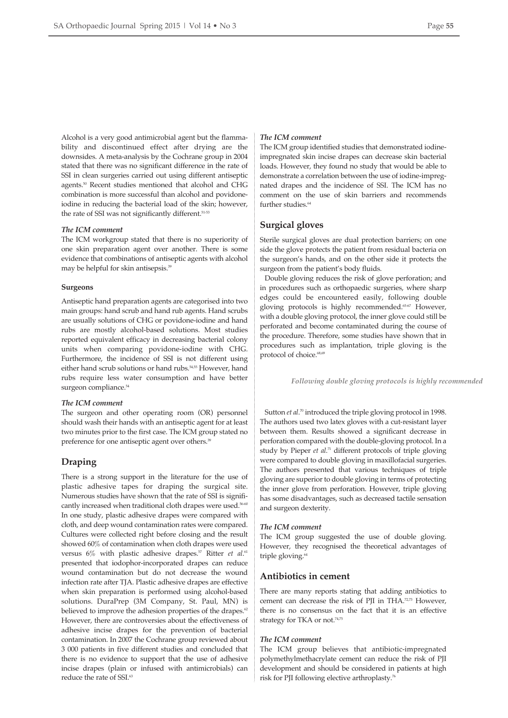Alcohol is a very good antimicrobial agent but the flammability and discontinued effect after drying are the downsides. A meta-analysis by the Cochrane group in 2004 stated that there was no significant difference in the rate of SSI in clean surgeries carried out using different antiseptic agents. <sup>50</sup> Recent studies mentioned that alcohol and CHG combination is more successful than alcohol and povidoneiodine in reducing the bacterial load of the skin; however, the rate of SSI was not significantly different.<sup>51-53</sup>

#### *The ICM comment*

The ICM workgroup stated that there is no superiority of one skin preparation agent over another. There is some evidence that combinations of antiseptic agents with alcohol may be helpful for skin antisepsis. 39

#### **Surgeons**

Antiseptic hand preparation agents are categorised into two main groups: hand scrub and hand rub agents. Hand scrubs are usually solutions of CHG or povidone-iodine and hand rubs are mostly alcohol-based solutions. Most studies reported equivalent efficacy in decreasing bacterial colony units when comparing povidone-iodine with CHG. Furthermore, the incidence of SSI is not different using either hand scrub solutions or hand rubs. 54,55 However, hand rubs require less water consumption and have better surgeon compliance. 54

#### *The ICM comment*

The surgeon and other operating room (OR) personnel should wash their hands with an antiseptic agent for at least two minutes prior to the first case. The ICM group stated no preference for one antiseptic agent over others. 39

## **Draping**

There is a strong support in the literature for the use of plastic adhesive tapes for draping the surgical site. Numerous studies have shown that the rate of SSI is significantly increased when traditional cloth drapes were used.<sup>56-60</sup> In one study, plastic adhesive drapes were compared with cloth, and deep wound contamination rates were compared. Cultures were collected right before closing and the result showed 60% of contamination when cloth drapes were used versus 6% with plastic adhesive drapes. <sup>57</sup> Ritter *et al*. 61 presented that iodophor-incorporated drapes can reduce wound contamination but do not decrease the wound infection rate after TJA. Plastic adhesive drapes are effective when skin preparation is performed using alcohol-based solutions. DuraPrep (3M Company, St. Paul, MN) is believed to improve the adhesion properties of the drapes.<sup>62</sup> However, there are controversies about the effectiveness of adhesive incise drapes for the prevention of bacterial contamination. In 2007 the Cochrane group reviewed about 3 000 patients in five different studies and concluded that there is no evidence to support that the use of adhesive incise drapes (plain or infused with antimicrobials) can reduce the rate of SSI.<sup>63</sup>

#### *The ICM comment*

The ICM group identified studies that demonstrated iodineimpregnated skin incise drapes can decrease skin bacterial loads. However, they found no study that would be able to demonstrate a correlation between the use of iodine-impregnated drapes and the incidence of SSI. The ICM has no comment on the use of skin barriers and recommends further studies. 64

#### **Surgical gloves**

Sterile surgical gloves are dual protection barriers; on one side the glove protects the patient from residual bacteria on the surgeon's hands, and on the other side it protects the surgeon from the patient's body fluids.

Double gloving reduces the risk of glove perforation; and in procedures such as orthopaedic surgeries, where sharp edges could be encountered easily, following double gloving protocols is highly recommended. 65-67 However, with a double gloving protocol, the inner glove could still be perforated and become contaminated during the course of the procedure. Therefore, some studies have shown that in procedures such as implantation, triple gloving is the protocol of choice. 68,69

*Following double gloving protocols is highly recommended*

Sutton *et al*. <sup>70</sup> introduced the triple gloving protocol in 1998. The authors used two latex gloves with a cut-resistant layer between them. Results showed a significant decrease in perforation compared with the double-gloving protocol. In a study by Pieper *et al*. <sup>71</sup> different protocols of triple gloving were compared to double gloving in maxillofacial surgeries. The authors presented that various techniques of triple gloving are superior to double gloving in terms of protecting the inner glove from perforation. However, triple gloving has some disadvantages, such as decreased tactile sensation and surgeon dexterity.

#### *The ICM comment*

The ICM group suggested the use of double gloving. However, they recognised the theoretical advantages of triple gloving.<sup>64</sup>

#### **Antibiotics in cement**

There are many reports stating that adding antibiotics to cement can decrease the risk of PJI in THA.<sup>72,73</sup> However, there is no consensus on the fact that it is an effective strategy for TKA or not.<sup>74,75</sup>

#### *The ICM comment*

The ICM group believes that antibiotic-impregnated polymethylmethacrylate cement can reduce the risk of PJI development and should be considered in patients at high risk for PJI following elective arthroplasty.<sup>76</sup>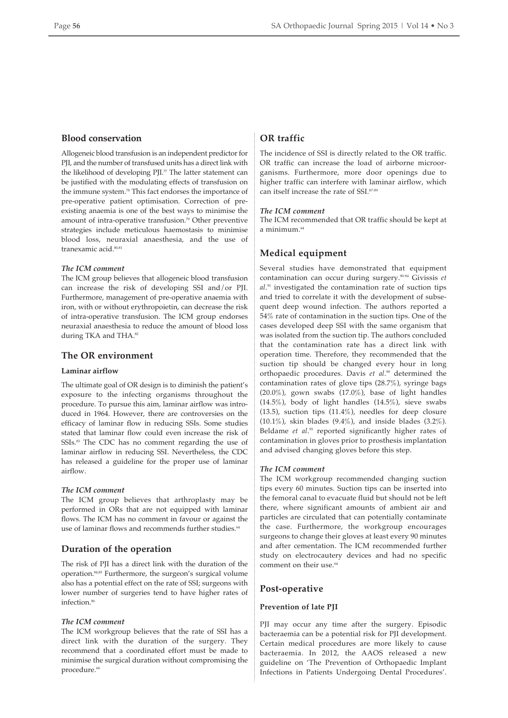## **Blood conservation**

Allogeneic blood transfusion is an independent predictor for PJI, and the number of transfused units has a direct link with the likelihood of developing PJI. $\pi$  The latter statement can be justified with the modulating effects of transfusion on the immune system. <sup>78</sup> This fact endorses the importance of pre-operative patient optimisation. Correction of preexisting anaemia is one of the best ways to minimise the amount of intra-operative transfusion. <sup>79</sup> Other preventive strategies include meticulous haemostasis to minimise blood loss, neuraxial anaesthesia, and the use of tranexamic acid. 80,81

#### *The ICM comment*

The ICM group believes that allogeneic blood transfusion can increase the risk of developing SSI and/or PJI. Furthermore, management of pre-operative anaemia with iron, with or without erythropoietin, can decrease the risk of intra-operative transfusion. The ICM group endorses neuraxial anaesthesia to reduce the amount of blood loss during TKA and THA. 82

## **The OR environment**

#### **Laminar airflow**

The ultimate goal of OR design is to diminish the patient's exposure to the infecting organisms throughout the procedure. To pursue this aim, laminar airflow was introduced in 1964. However, there are controversies on the efficacy of laminar flow in reducing SSIs. Some studies stated that laminar flow could even increase the risk of SSIs. <sup>83</sup> The CDC has no comment regarding the use of laminar airflow in reducing SSI. Nevertheless, the CDC has released a guideline for the proper use of laminar airflow.

#### *The ICM comment*

The ICM group believes that arthroplasty may be performed in ORs that are not equipped with laminar flows. The ICM has no comment in favour or against the use of laminar flows and recommends further studies.<sup>64</sup>

# **Duration of the operation**

The risk of PJI has a direct link with the duration of the operation. 84,85 Furthermore, the surgeon's surgical volume also has a potential effect on the rate of SSI; surgeons with lower number of surgeries tend to have higher rates of infection. 86

#### *The ICM comment*

The ICM workgroup believes that the rate of SSI has a direct link with the duration of the surgery. They recommend that a coordinated effort must be made to minimise the surgical duration without compromising the procedure. 64

# **OR traffic**

The incidence of SSI is directly related to the OR traffic. OR traffic can increase the load of airborne microorganisms. Furthermore, more door openings due to higher traffic can interfere with laminar airflow, which can itself increase the rate of SSI. 87-89

## *The ICM comment*

The ICM recommended that OR traffic should be kept at a minimum. 64

# **Medical equipment**

Several studies have demonstrated that equipment contamination can occur during surgery. 90-94 Givissis *et al*. <sup>91</sup> investigated the contamination rate of suction tips and tried to correlate it with the development of subsequent deep wound infection. The authors reported a 54% rate of contamination in the suction tips. One of the cases developed deep SSI with the same organism that was isolated from the suction tip. The authors concluded that the contamination rate has a direct link with operation time. Therefore, they recommended that the suction tip should be changed every hour in long orthopaedic procedures. Davis *et al*. <sup>90</sup> determined the contamination rates of glove tips (28.7%), syringe bags (20.0%), gown swabs (17.0%), base of light handles (14.5%), body of light handles (14.5%), sieve swabs (13.5), suction tips (11.4%), needles for deep closure  $(10.1\%)$ , skin blades  $(9.4\%)$ , and inside blades  $(3.2\%)$ . Beldame *et al*. <sup>95</sup> reported significantly higher rates of contamination in gloves prior to prosthesis implantation and advised changing gloves before this step.

## *The ICM comment*

The ICM workgroup recommended changing suction tips every 60 minutes. Suction tips can be inserted into the femoral canal to evacuate fluid but should not be left there, where significant amounts of ambient air and particles are circulated that can potentially contaminate the case. Furthermore, the workgroup encourages surgeons to change their gloves at least every 90 minutes and after cementation. The ICM recommended further study on electrocautery devices and had no specific comment on their use. 64

# **Post-operative**

## **Prevention of late PJI**

PJI may occur any time after the surgery. Episodic bacteraemia can be a potential risk for PJI development. Certain medical procedures are more likely to cause bacteraemia. In 2012, the AAOS released a new guideline on 'The Prevention of Orthopaedic Implant Infections in Patients Undergoing Dental Procedures'.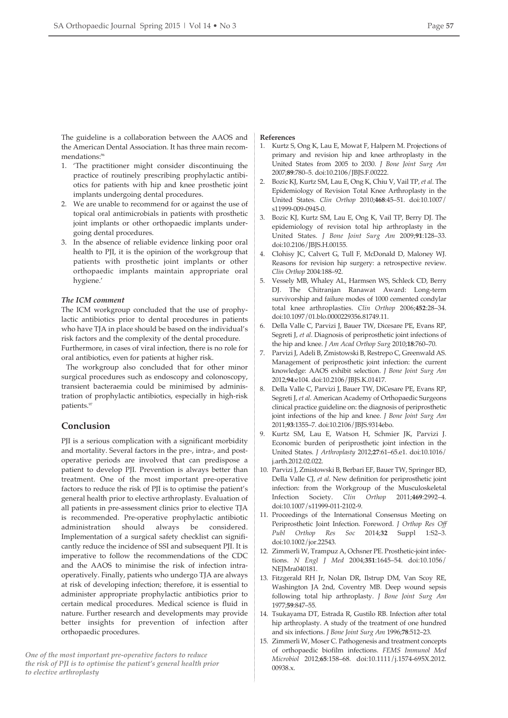The guideline is a collaboration between the AAOS and the American Dental Association. It has three main recommendations: 96

- 1. 'The practitioner might consider discontinuing the practice of routinely prescribing prophylactic antibiotics for patients with hip and knee prosthetic joint implants undergoing dental procedures.
- 2. We are unable to recommend for or against the use of topical oral antimicrobials in patients with prosthetic joint implants or other orthopaedic implants undergoing dental procedures.
- 3. In the absence of reliable evidence linking poor oral health to PJI, it is the opinion of the workgroup that patients with prosthetic joint implants or other orthopaedic implants maintain appropriate oral hygiene.'

#### *The ICM comment*

The ICM workgroup concluded that the use of prophylactic antibiotics prior to dental procedures in patients who have TJA in place should be based on the individual's risk factors and the complexity of the dental procedure.

Furthermore, in cases of viral infection, there is no role for oral antibiotics, even for patients at higher risk.

The workgroup also concluded that for other minor surgical procedures such as endoscopy and colonoscopy, transient bacteraemia could be minimised by administration of prophylactic antibiotics, especially in high-risk patients. 97

## **Conclusion**

PJI is a serious complication with a significant morbidity and mortality. Several factors in the pre-, intra-, and postoperative periods are involved that can predispose a patient to develop PJI. Prevention is always better than treatment. One of the most important pre-operative factors to reduce the risk of PJI is to optimise the patient's general health prior to elective arthroplasty. Evaluation of all patients in pre-assessment clinics prior to elective TJA is recommended. Pre-operative prophylactic antibiotic administration should always be considered. Implementation of a surgical safety checklist can significantly reduce the incidence of SSI and subsequent PJI. It is imperative to follow the recommendations of the CDC and the AAOS to minimise the risk of infection intraoperatively. Finally, patients who undergo TJA are always at risk of developing infection; therefore, it is essential to administer appropriate prophylactic antibiotics prior to certain medical procedures. Medical science is fluid in nature. Further research and developments may provide better insights for prevention of infection after orthopaedic procedures.

*One of the most important pre-operative factors to reduce the risk of PJI is to optimise the patient's general health prior to elective arthroplasty*

#### **References**

- 1. Kurtz S, Ong K, Lau E, Mowat F, Halpern M. Projections of primary and revision hip and knee arthroplasty in the United States from 2005 to 2030. *J Bone Joint Surg Am* 2007;**89**:780–5. doi:10.2106/JBJS.F.00222.
- 2. Bozic KJ, Kurtz SM, Lau E, Ong K, Chiu V, Vail TP, *et al*. The Epidemiology of Revision Total Knee Arthroplasty in the United States. *Clin Orthop* 2010;**468**:45–51. doi:10.1007/ s11999-009-0945-0.
- 3. Bozic KJ, Kurtz SM, Lau E, Ong K, Vail TP, Berry DJ. The epidemiology of revision total hip arthroplasty in the United States. *J Bone Joint Surg Am* 2009;**91**:128–33. doi:10.2106/JBJS.H.00155.
- 4. Clohisy JC, Calvert G, Tull F, McDonald D, Maloney WJ. Reasons for revision hip surgery: a retrospective review. *Clin Orthop* 2004:188–92.
- 5. Vessely MB, Whaley AL, Harmsen WS, Schleck CD, Berry DJ. The Chitranjan Ranawat Award: Long-term survivorship and failure modes of 1000 cemented condylar total knee arthroplasties. *Clin Orthop* 2006;**452**:28–34. doi:10.1097/01.blo.0000229356.81749.11.
- 6. Della Valle C, Parvizi J, Bauer TW, Dicesare PE, Evans RP, Segreti J, *et al*. Diagnosis of periprosthetic joint infections of the hip and knee. *J Am Acad Orthop Surg* 2010;**18**:760–70.
- 7. Parvizi J, Adeli B, Zmistowski B, Restrepo C, Greenwald AS. Management of periprosthetic joint infection: the current knowledge: AAOS exhibit selection. *J Bone Joint Surg Am* 2012;**94**:e104. doi:10.2106/JBJS.K.01417.
- 8. Della Valle C, Parvizi J, Bauer TW, DiCesare PE, Evans RP, Segreti J, *et al*. American Academy of Orthopaedic Surgeons clinical practice guideline on: the diagnosis of periprosthetic joint infections of the hip and knee. *J Bone Joint Surg Am* 2011;**93**:1355–7. doi:10.2106/JBJS.9314ebo.
- 9. Kurtz SM, Lau E, Watson H, Schmier JK, Parvizi J. Economic burden of periprosthetic joint infection in the United States. *J Arthroplasty* 2012;**27**:61–65.e1. doi:10.1016/ j.arth.2012.02.022.
- 10. Parvizi J, Zmistowski B, Berbari EF, Bauer TW, Springer BD, Della Valle CJ, *et al*. New definition for periprosthetic joint infection: from the Workgroup of the Musculoskeletal Infection Society. *Clin Orthop* 2011;**469**:2992–4. doi:10.1007/s11999-011-2102-9.
- 11. Proceedings of the International Consensus Meeting on Periprosthetic Joint Infection. Foreword. *J Orthop Res Off Publ Orthop Res Soc* 2014;**32** Suppl 1:S2–3. doi:10.1002/jor.22543.
- 12. Zimmerli W, Trampuz A, Ochsner PE. Prosthetic-joint infections. *N Engl J Med* 2004;**351**:1645–54. doi:10.1056/ NEIMra040181.
- 13. Fitzgerald RH Jr, Nolan DR, Ilstrup DM, Van Scoy RE, Washington JA 2nd, Coventry MB. Deep wound sepsis following total hip arthroplasty. *J Bone Joint Surg Am* 1977;**59**:847–55.
- 14. Tsukayama DT, Estrada R, Gustilo RB. Infection after total hip arthroplasty. A study of the treatment of one hundred and six infections. *J Bone Joint Surg Am* 1996;**78**:512–23.
- 15. Zimmerli W, Moser C. Pathogenesis and treatment concepts of orthopaedic biofilm infections. *FEMS Immunol Med Microbiol* 2012;**65**:158–68. doi:10.1111/j.1574-695X.2012. 00938.x.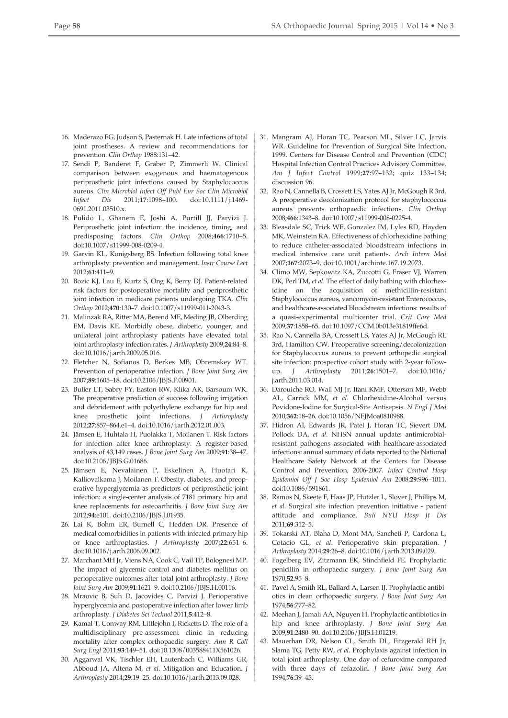- 16. Maderazo EG, Judson S, Pasternak H. Late infections of total joint prostheses. A review and recommendations for prevention. *Clin Orthop* 1988:131–42.
- 17. Sendi P, Banderet F, Graber P, Zimmerli W. Clinical comparison between exogenous and haematogenous periprosthetic joint infections caused by Staphylococcus aureus. *Clin Microbiol Infect Off Publ Eur Soc Clin Microbiol Infect Dis* 2011;**17**:1098–100. doi:10.1111/j.1469- 0691.2011.03510.x.
- 18. Pulido L, Ghanem E, Joshi A, Purtill JJ, Parvizi J. Periprosthetic joint infection: the incidence, timing, and predisposing factors. *Clin Orthop* 2008;**466**:1710–5. doi:10.1007/s11999-008-0209-4.
- 19. Garvin KL, Konigsberg BS. Infection following total knee arthroplasty: prevention and management. *Instr Course Lect* 2012;**61**:411–9.
- 20. Bozic KJ, Lau E, Kurtz S, Ong K, Berry DJ. Patient-related risk factors for postoperative mortality and periprosthetic joint infection in medicare patients undergoing TKA. *Clin Orthop* 2012;**470**:130–7. doi:10.1007/s11999-011-2043-3.
- 21. Malinzak RA, Ritter MA, Berend ME, Meding JB, Olberding EM, Davis KE. Morbidly obese, diabetic, younger, and unilateral joint arthroplasty patients have elevated total joint arthroplasty infection rates. *J Arthroplasty* 2009;**24**:84–8. doi:10.1016/j.arth.2009.05.016.
- 22. Fletcher N, Sofianos D, Berkes MB, Obremskey WT. Prevention of perioperative infection. *J Bone Joint Surg Am* 2007;**89**:1605–18. doi:10.2106/JBJS.F.00901.
- 23. Buller LT, Sabry FY, Easton RW, Klika AK, Barsoum WK. The preoperative prediction of success following irrigation and debridement with polyethylene exchange for hip and knee prosthetic joint infections. *J Arthroplasty* 2012;**27**:857–864.e1–4. doi:10.1016/j.arth.2012.01.003.
- 24. Jämsen E, Huhtala H, Puolakka T, Moilanen T. Risk factors for infection after knee arthroplasty. A register-based analysis of 43,149 cases. *J Bone Joint Surg Am* 2009;**91**:38–47. doi:10.2106/JBJS.G.01686.
- 25. Jämsen E, Nevalainen P, Eskelinen A, Huotari K, Kalliovalkama J, Moilanen T. Obesity, diabetes, and preoperative hyperglycemia as predictors of periprosthetic joint infection: a single-center analysis of 7181 primary hip and knee replacements for osteoarthritis. *J Bone Joint Surg Am* 2012;**94**:e101. doi:10.2106/JBJS.J.01935.
- 26. Lai K, Bohm ER, Burnell C, Hedden DR. Presence of medical comorbidities in patients with infected primary hip or knee arthroplasties. *J Arthroplasty* 2007;**22**:651–6. doi:10.1016/j.arth.2006.09.002.
- 27. Marchant MH Jr, Viens NA, Cook C, Vail TP, Bolognesi MP. The impact of glycemic control and diabetes mellitus on perioperative outcomes after total joint arthroplasty. *J Bone Joint Surg Am* 2009;**91**:1621–9. doi:10.2106/JBJS.H.00116.
- 28. Mraovic B, Suh D, Jacovides C, Parvizi J. Perioperative hyperglycemia and postoperative infection after lower limb arthroplasty. *J Diabetes Sci Technol* 2011;**5**:412–8.
- 29. Kamal T, Conway RM, Littlejohn I, Ricketts D. The role of a multidisciplinary pre-assessment clinic in reducing mortality after complex orthopaedic surgery. *Ann R Coll Surg Engl* 2011;**93**:149–51. doi:10.1308/003588411X561026.
- 30. Aggarwal VK, Tischler EH, Lautenbach C, Williams GR, Abboud JA, Altena M, *et al*. Mitigation and Education. *J Arthroplasty* 2014;**29**:19–25. doi:10.1016/j.arth.2013.09.028.
- 31. Mangram AJ, Horan TC, Pearson ML, Silver LC, Jarvis WR. Guideline for Prevention of Surgical Site Infection, 1999. Centers for Disease Control and Prevention (CDC) Hospital Infection Control Practices Advisory Committee. *Am J Infect Control* 1999;**27**:97–132; quiz 133–134; discussion 96.
- 32. Rao N, Cannella B, Crossett LS, Yates AJ Jr, McGough R 3rd. A preoperative decolonization protocol for staphylococcus aureus prevents orthopaedic infections. *Clin Orthop* 2008;**466**:1343–8. doi:10.1007/s11999-008-0225-4.
- 33. Bleasdale SC, Trick WE, Gonzalez IM, Lyles RD, Hayden MK, Weinstein RA. Effectiveness of chlorhexidine bathing to reduce catheter-associated bloodstream infections in medical intensive care unit patients. *Arch Intern Med* 2007;**167**:2073–9. doi:10.1001/archinte.167.19.2073.
- 34. Climo MW, Sepkowitz KA, Zuccotti G, Fraser VJ, Warren DK, Perl TM, *et al*. The effect of daily bathing with chlorhexidine on the acquisition of methicillin-resistant Staphylococcus aureus, vancomycin-resistant Enterococcus, and healthcare-associated bloodstream infections: results of a quasi-experimental multicenter trial. *Crit Care Med* 2009;**37**:1858–65. doi:10.1097/CCM.0b013e31819ffe6d.
- 35. Rao N, Cannella BA, Crossett LS, Yates AJ Jr, McGough RL 3rd, Hamilton CW. Preoperative screening/decolonization for Staphylococcus aureus to prevent orthopedic surgical site infection: prospective cohort study with 2-year followup. *J Arthroplasty* 2011;**26**:1501–7. doi:10.1016/ j.arth.2011.03.014.
- 36. Darouiche RO, Wall MJ Jr, Itani KMF, Otterson MF, Webb AL, Carrick MM, *et al*. Chlorhexidine-Alcohol versus Povidone-Iodine for Surgical-Site Antisepsis. *N Engl J Med* 2010;**362**:18–26. doi:10.1056/NEJMoa0810988.
- 37. Hidron AI, Edwards JR, Patel J, Horan TC, Sievert DM, Pollock DA, *et al*. NHSN annual update: antimicrobialresistant pathogens associated with healthcare-associated infections: annual summary of data reported to the National Healthcare Safety Network at the Centers for Disease Control and Prevention, 2006-2007. *Infect Control Hosp Epidemiol Off J Soc Hosp Epidemiol Am* 2008;**29**:996–1011. doi:10.1086/591861.
- 38. Ramos N, Skeete F, Haas JP, Hutzler L, Slover J, Phillips M, *et al*. Surgical site infection prevention initiative - patient attitude and compliance. *Bull NYU Hosp Jt Dis* 2011;**69**:312–5.
- 39. Tokarski AT, Blaha D, Mont MA, Sancheti P, Cardona L, Cotacio GL, *et al*. Perioperative skin preparation. *J Arthroplasty* 2014;**29**:26–8. doi:10.1016/j.arth.2013.09.029.
- 40. Fogelberg EV, Zitzmann EK, Stinchfield FE. Prophylactic penicillin in orthopaedic surgery. *J Bone Joint Surg Am* 1970;**52**:95–8.
- 41. Pavel A, Smith RL, Ballard A, Larsen IJ. Prophylactic antibiotics in clean orthopaedic surgery. *J Bone Joint Surg Am* 1974;**56**:777–82.
- 42. Meehan J, Jamali AA, Nguyen H. Prophylactic antibiotics in hip and knee arthroplasty. *J Bone Joint Surg Am* 2009;**91**:2480–90. doi:10.2106/JBJS.H.01219.
- 43. Mauerhan DR, Nelson CL, Smith DL, Fitzgerald RH Jr, Slama TG, Petty RW, *et al*. Prophylaxis against infection in total joint arthroplasty. One day of cefuroxime compared with three days of cefazolin. *J Bone Joint Surg Am* 1994;**76**:39–45.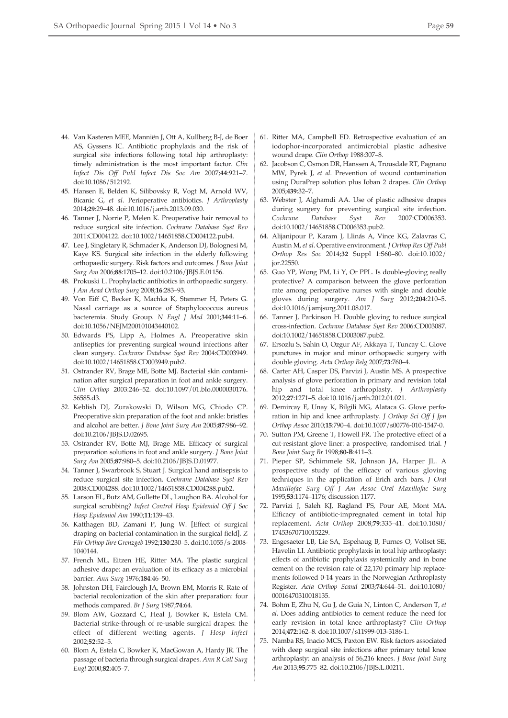- 44. Van Kasteren MEE, Manniën J, Ott A, Kullberg B-J, de Boer AS, Gyssens IC. Antibiotic prophylaxis and the risk of surgical site infections following total hip arthroplasty: timely administration is the most important factor. *Clin Infect Dis Off Publ Infect Dis Soc Am* 2007;**44**:921–7. doi:10.1086/512192.
- 45. Hansen E, Belden K, Silibovsky R, Vogt M, Arnold WV, Bicanic G, *et al*. Perioperative antibiotics. *J Arthroplasty* 2014;**29**:29–48. doi:10.1016/j.arth.2013.09.030.
- 46. Tanner J, Norrie P, Melen K. Preoperative hair removal to reduce surgical site infection. *Cochrane Database Syst Rev* 2011:CD004122. doi:10.1002/14651858.CD004122.pub4.
- 47. Lee J, Singletary R, Schmader K, Anderson DJ, Bolognesi M, Kaye KS. Surgical site infection in the elderly following orthopaedic surgery. Risk factors and outcomes. *J Bone Joint Surg Am* 2006;**88**:1705–12. doi:10.2106/JBJS.E.01156.
- 48. Prokuski L. Prophylactic antibiotics in orthopaedic surgery. *J Am Acad Orthop Surg* 2008;**16**:283–93.
- 49. Von Eiff C, Becker K, Machka K, Stammer H, Peters G. Nasal carriage as a source of Staphylococcus aureus bacteremia. Study Group. *N Engl J Med* 2001;**344**:11–6. doi:10.1056/NEJM200101043440102.
- 50. Edwards PS, Lipp A, Holmes A. Preoperative skin antiseptics for preventing surgical wound infections after clean surgery. *Cochrane Database Syst Rev* 2004:CD003949. doi:10.1002/14651858.CD003949.pub2.
- 51. Ostrander RV, Brage ME, Botte MJ. Bacterial skin contamination after surgical preparation in foot and ankle surgery. *Clin Orthop* 2003:246–52. doi:10.1097/01.blo.0000030176. 56585.d3.
- 52. Keblish DJ, Zurakowski D, Wilson MG, Chiodo CP. Preoperative skin preparation of the foot and ankle: bristles and alcohol are better. *J Bone Joint Surg Am* 2005;**87**:986–92. doi:10.2106/JBJS.D.02695.
- 53. Ostrander RV, Botte MJ, Brage ME. Efficacy of surgical preparation solutions in foot and ankle surgery. *J Bone Joint Surg Am* 2005;**87**:980–5. doi:10.2106/JBJS.D.01977.
- 54. Tanner J, Swarbrook S, Stuart J. Surgical hand antisepsis to reduce surgical site infection. *Cochrane Database Syst Rev* 2008:CD004288. doi:10.1002/14651858.CD004288.pub2.
- 55. Larson EL, Butz AM, Gullette DL, Laughon BA. Alcohol for surgical scrubbing? *Infect Control Hosp Epidemiol Off J Soc Hosp Epidemiol Am* 1990;**11**:139–43.
- 56. Katthagen BD, Zamani P, Jung W. [Effect of surgical draping on bacterial contamination in the surgical field]. *Z Für Orthop Ihre Grenzgeb* 1992;**130**:230–5. doi:10.1055/s-2008- 1040144.
- 57. French ML, Eitzen HE, Ritter MA. The plastic surgical adhesive drape: an evaluation of its efficacy as a microbial barrier. *Ann Surg* 1976;**184**:46–50.
- 58. Johnston DH, Fairclough JA, Brown EM, Morris R. Rate of bacterial recolonization of the skin after preparation: four methods compared. *Br J Surg* 1987;**74**:64.
- 59. Blom AW, Gozzard C, Heal J, Bowker K, Estela CM. Bacterial strike-through of re-usable surgical drapes: the effect of different wetting agents. *J Hosp Infect* 2002;**52**:52–5.
- 60. Blom A, Estela C, Bowker K, MacGowan A, Hardy JR. The passage of bacteria through surgical drapes. *Ann R Coll Surg Engl* 2000;**82**:405–7.
- 61. Ritter MA, Campbell ED. Retrospective evaluation of an iodophor-incorporated antimicrobial plastic adhesive wound drape. *Clin Orthop* 1988:307–8.
- 62. Jacobson C, Osmon DR, Hanssen A, Trousdale RT, Pagnano MW, Pyrek J, *et al*. Prevention of wound contamination using DuraPrep solution plus Ioban 2 drapes. *Clin Orthop* 2005;**439**:32–7.
- 63. Webster J, Alghamdi AA. Use of plastic adhesive drapes during surgery for preventing surgical site infection. *Cochrane Database Syst Rev* 2007:CD006353. doi:10.1002/14651858.CD006353.pub2.
- 64. Alijanipour P, Karam J, Llinás A, Vince KG, Zalavras C, Austin M,*et al*. Operative environment. *J Orthop Res Off Publ Orthop Res Soc* 2014;**32** Suppl 1:S60–80. doi:10.1002/ jor.22550.
- 65. Guo YP, Wong PM, Li Y, Or PPL. Is double-gloving really protective? A comparison between the glove perforation rate among perioperative nurses with single and double gloves during surgery. *Am J Surg* 2012;**204**:210–5. doi:10.1016/j.amjsurg.2011.08.017.
- 66. Tanner J, Parkinson H. Double gloving to reduce surgical cross-infection. *Cochrane Database Syst Rev* 2006:CD003087. doi:10.1002/14651858.CD003087.pub2.
- 67. Ersozlu S, Sahin O, Ozgur AF, Akkaya T, Tuncay C. Glove punctures in major and minor orthopaedic surgery with double gloving. *Acta Orthop Belg* 2007;**73**:760–4.
- 68. Carter AH, Casper DS, Parvizi J, Austin MS. A prospective analysis of glove perforation in primary and revision total hip and total knee arthroplasty. *J Arthroplasty* 2012;**27**:1271–5. doi:10.1016/j.arth.2012.01.021.
- 69. Demircay E, Unay K, Bilgili MG, Alataca G. Glove perforation in hip and knee arthroplasty. *J Orthop Sci Off J Jpn Orthop Assoc* 2010;**15**:790–4. doi:10.1007/s00776-010-1547-0.
- 70. Sutton PM, Greene T, Howell FR. The protective effect of a cut-resistant glove liner: a prospective, randomised trial. *J Bone Joint Surg Br* 1998;**80-B**:411–3.
- 71. Pieper SP, Schimmele SR, Johnson JA, Harper JL. A prospective study of the efficacy of various gloving techniques in the application of Erich arch bars. *J Oral Maxillofac Surg Off J Am Assoc Oral Maxillofac Surg* 1995;**53**:1174–1176; discussion 1177.
- 72. Parvizi J, Saleh KJ, Ragland PS, Pour AE, Mont MA. Efficacy of antibiotic-impregnated cement in total hip replacement. *Acta Orthop* 2008;**79**:335–41. doi:10.1080/ 17453670710015229.
- 73. Engesaeter LB, Lie SA, Espehaug B, Furnes O, Vollset SE, Havelin LI. Antibiotic prophylaxis in total hip arthroplasty: effects of antibiotic prophylaxis systemically and in bone cement on the revision rate of 22,170 primary hip replacements followed 0-14 years in the Norwegian Arthroplasty Register. *Acta Orthop Scand* 2003;**74**:644–51. doi:10.1080/ 00016470310018135.
- 74. Bohm E, Zhu N, Gu J, de Guia N, Linton C, Anderson T, *et al*. Does adding antibiotics to cement reduce the need for early revision in total knee arthroplasty? *Clin Orthop* 2014;**472**:162–8. doi:10.1007/s11999-013-3186-1.
- 75. Namba RS, Inacio MCS, Paxton EW. Risk factors associated with deep surgical site infections after primary total knee arthroplasty: an analysis of 56,216 knees. *J Bone Joint Surg Am* 2013;**95**:775–82. doi:10.2106/JBJS.L.00211.